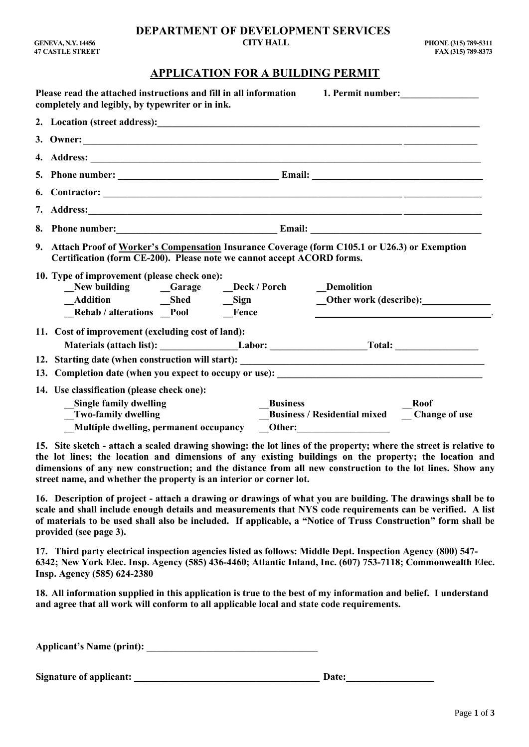### **APPLICATION FOR A BUILDING PERMIT**

| Please read the attached instructions and fill in all information 1. Permit number:<br>completely and legibly, by typewriter or in ink.                                                                                  |                 |                                                |             |
|--------------------------------------------------------------------------------------------------------------------------------------------------------------------------------------------------------------------------|-----------------|------------------------------------------------|-------------|
|                                                                                                                                                                                                                          |                 |                                                |             |
|                                                                                                                                                                                                                          |                 |                                                |             |
|                                                                                                                                                                                                                          |                 |                                                |             |
|                                                                                                                                                                                                                          |                 |                                                |             |
|                                                                                                                                                                                                                          |                 |                                                |             |
|                                                                                                                                                                                                                          |                 |                                                |             |
|                                                                                                                                                                                                                          |                 |                                                |             |
| 9. Attach Proof of Worker's Compensation Insurance Coverage (form C105.1 or U26.3) or Exemption<br>Certification (form CE-200). Please note we cannot accept ACORD forms.<br>10. Type of improvement (please check one): |                 |                                                |             |
| New building _______Garage ______Deck / Porch ________Demolition                                                                                                                                                         |                 |                                                |             |
|                                                                                                                                                                                                                          |                 | Other work (describe): <u>________________</u> |             |
| Rehab / alterations _Pool __Fence                                                                                                                                                                                        |                 |                                                |             |
| 11. Cost of improvement (excluding cost of land):                                                                                                                                                                        |                 |                                                |             |
|                                                                                                                                                                                                                          |                 |                                                |             |
|                                                                                                                                                                                                                          |                 |                                                |             |
|                                                                                                                                                                                                                          |                 |                                                |             |
| 14. Use classification (please check one):                                                                                                                                                                               |                 |                                                |             |
| <b>Single family dwelling</b>                                                                                                                                                                                            | <b>Business</b> |                                                | <b>Roof</b> |
| Two-family dwelling                                                                                                                                                                                                      |                 | Business / Residential mixed __ Change of use  |             |
| Multiple dwelling, permanent occupancy ___Other: _______________________________                                                                                                                                         |                 |                                                |             |

**15. Site sketch - attach a scaled drawing showing: the lot lines of the property; where the street is relative to the lot lines; the location and dimensions of any existing buildings on the property; the location and dimensions of any new construction; and the distance from all new construction to the lot lines. Show any street name, and whether the property is an interior or corner lot.**

**16. Description of project - attach a drawing or drawings of what you are building. The drawings shall be to scale and shall include enough details and measurements that NYS code requirements can be verified. A list of materials to be used shall also be included. If applicable, a "Notice of Truss Construction" form shall be provided (see page 3).**

**17. Third party electrical inspection agencies listed as follows: Middle Dept. Inspection Agency (800) 547- 6342; New York Elec. Insp. Agency (585) 436-4460; Atlantic Inland, Inc. (607) 753-7118; Commonwealth Elec. Insp. Agency (585) 624-2380**

**18. All information supplied in this application is true to the best of my information and belief. I understand and agree that all work will conform to all applicable local and state code requirements.**

**Applicant's Name (print): \_\_\_\_\_\_\_\_\_\_\_\_\_\_\_\_\_\_\_\_\_\_\_\_\_\_\_\_\_\_\_\_\_\_\_**

**Signature of applicant: \_\_\_\_\_\_\_\_\_\_\_\_\_\_\_\_\_\_\_\_\_\_\_\_\_\_\_\_\_\_\_\_\_\_\_\_\_\_ Date:\_\_\_\_\_\_\_\_\_\_\_\_\_\_\_\_\_\_**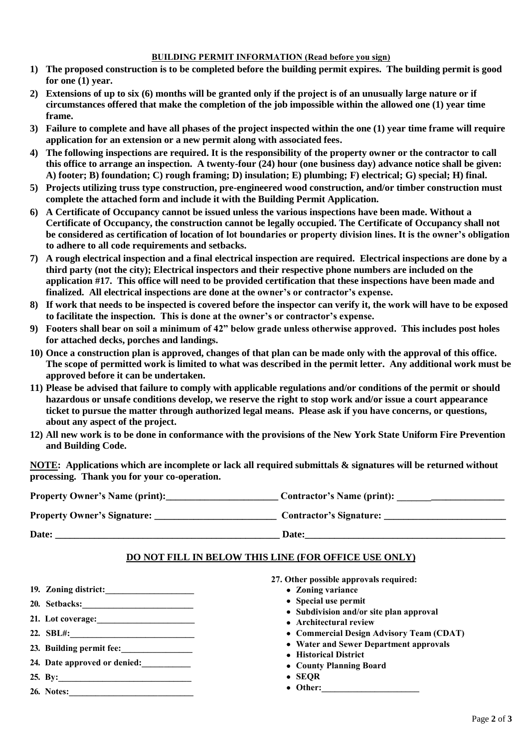#### **BUILDING PERMIT INFORMATION (Read before you sign)**

- **1) The proposed construction is to be completed before the building permit expires. The building permit is good for one (1) year.**
- **2) Extensions of up to six (6) months will be granted only if the project is of an unusually large nature or if circumstances offered that make the completion of the job impossible within the allowed one (1) year time frame.**
- **3) Failure to complete and have all phases of the project inspected within the one (1) year time frame will require application for an extension or a new permit along with associated fees.**
- **4) The following inspections are required. It is the responsibility of the property owner or the contractor to call this office to arrange an inspection. A twenty-four (24) hour (one business day) advance notice shall be given: A) footer; B) foundation; C) rough framing; D) insulation; E) plumbing; F) electrical; G) special; H) final.**
- **5) Projects utilizing truss type construction, pre-engineered wood construction, and/or timber construction must complete the attached form and include it with the Building Permit Application.**
- **6) A Certificate of Occupancy cannot be issued unless the various inspections have been made. Without a Certificate of Occupancy, the construction cannot be legally occupied. The Certificate of Occupancy shall not be considered as certification of location of lot boundaries or property division lines. It is the owner's obligation to adhere to all code requirements and setbacks.**
- **7) A rough electrical inspection and a final electrical inspection are required. Electrical inspections are done by a third party (not the city); Electrical inspectors and their respective phone numbers are included on the application #17. This office will need to be provided certification that these inspections have been made and finalized. All electrical inspections are done at the owner's or contractor's expense.**
- **8) If work that needs to be inspected is covered before the inspector can verify it, the work will have to be exposed to facilitate the inspection. This is done at the owner's or contractor's expense.**
- **9) Footers shall bear on soil a minimum of 42" below grade unless otherwise approved. This includes post holes for attached decks, porches and landings.**
- **10) Once a construction plan is approved, changes of that plan can be made only with the approval of this office. The scope of permitted work is limited to what was described in the permit letter. Any additional work must be approved before it can be undertaken.**
- **11) Please be advised that failure to comply with applicable regulations and/or conditions of the permit or should hazardous or unsafe conditions develop, we reserve the right to stop work and/or issue a court appearance ticket to pursue the matter through authorized legal means. Please ask if you have concerns, or questions, about any aspect of the project.**
- **12) All new work is to be done in conformance with the provisions of the New York State Uniform Fire Prevention and Building Code.**

**NOTE: Applications which are incomplete or lack all required submittals & signatures will be returned without processing. Thank you for your co-operation.**

| <b>Property Owner's Name (print):</b> | <b>Contractor's Name (print):</b> |
|---------------------------------------|-----------------------------------|
| <b>Property Owner's Signature:</b>    | <b>Contractor's Signature:</b>    |
| Date:                                 | Date:                             |

### **DO NOT FILL IN BELOW THIS LINE (FOR OFFICE USE ONLY)**

- **19. Zoning district:\_\_\_\_\_\_\_\_\_\_\_\_\_\_\_\_\_\_\_\_**
- **20. Setbacks:\_\_\_\_\_\_\_\_\_\_\_\_\_\_\_\_\_\_\_\_\_\_\_\_\_**
- **21. Lot coverage:\_\_\_\_\_\_\_\_\_\_\_\_\_\_\_\_\_\_\_\_\_\_**
- **22. SBL#:\_\_\_\_\_\_\_\_\_\_\_\_\_\_\_\_\_\_\_\_\_\_\_\_\_\_\_\_**
- **23. Building permit fee:\_\_\_\_\_\_\_\_\_\_\_\_\_\_\_\_**
- **24. Date approved or denied:\_\_\_\_\_\_\_\_\_\_\_**
- **25. By:\_\_\_\_\_\_\_\_\_\_\_\_\_\_\_\_\_\_\_\_\_\_\_\_\_\_\_\_\_\_**
- **26. Notes:\_\_\_\_\_\_\_\_\_\_\_\_\_\_\_\_\_\_\_\_\_\_\_\_\_\_\_\_**
- **27. Other possible approvals required:**
	- **Zoning variance**
	- **Special use permit**
	- **Subdivision and/or site plan approval**
	- **Architectural review**
	- **Commercial Design Advisory Team (CDAT)**
	- **Water and Sewer Department approvals**
	- **Historical District**
	- **County Planning Board**
	- **SEQR**
	- Other: